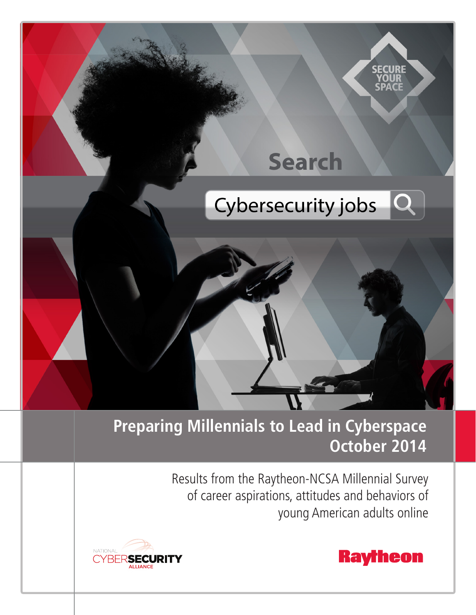

# **Preparing Millennials to Lead in Cyberspace October 2014**

Results from the Raytheon-NCSA Millennial Survey of career aspirations, attitudes and behaviors of young American adults online





**SECURE** 

**SPACE**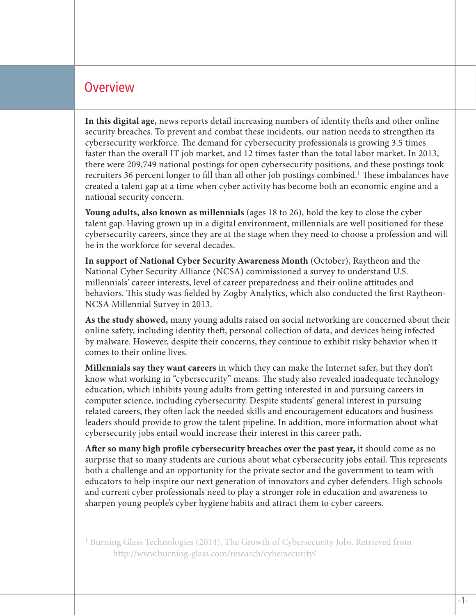#### **Overview**

**In this digital age,** news reports detail increasing numbers of identity thefts and other online security breaches. To prevent and combat these incidents, our nation needs to strengthen its cybersecurity workforce. The demand for cybersecurity professionals is growing 3.5 times faster than the overall IT job market, and 12 times faster than the total labor market. In 2013, there were 209,749 national postings for open cybersecurity positions, and these postings took recruiters 36 percent longer to fill than all other job postings combined.<sup>1</sup> These imbalances have created a talent gap at a time when cyber activity has become both an economic engine and a national security concern.

**Young adults, also known as millennials** (ages 18 to 26), hold the key to close the cyber talent gap. Having grown up in a digital environment, millennials are well positioned for these cybersecurity careers, since they are at the stage when they need to choose a profession and will be in the workforce for several decades.

**In support of National Cyber Security Awareness Month** (October), Raytheon and the National Cyber Security Alliance (NCSA) commissioned a survey to understand U.S. millennials' career interests, level of career preparedness and their online attitudes and behaviors. This study was fielded by Zogby Analytics, which also conducted the first Raytheon-NCSA Millennial Survey in 2013.

**As the study showed,** many young adults raised on social networking are concerned about their online safety, including identity theft, personal collection of data, and devices being infected by malware. However, despite their concerns, they continue to exhibit risky behavior when it comes to their online lives.

**Millennials say they want careers** in which they can make the Internet safer, but they don't know what working in "cybersecurity" means. The study also revealed inadequate technology education, which inhibits young adults from getting interested in and pursuing careers in computer science, including cybersecurity. Despite students' general interest in pursuing related careers, they often lack the needed skills and encouragement educators and business leaders should provide to grow the talent pipeline. In addition, more information about what cybersecurity jobs entail would increase their interest in this career path.

**After so many high profile cybersecurity breaches over the past year,** it should come as no surprise that so many students are curious about what cybersecurity jobs entail. This represents both a challenge and an opportunity for the private sector and the government to team with educators to help inspire our next generation of innovators and cyber defenders. High schools and current cyber professionals need to play a stronger role in education and awareness to sharpen young people's cyber hygiene habits and attract them to cyber careers.

<sup>1</sup> Burning Glass Technologies (2014). The Growth of Cybersecurity Jobs. Retrieved from http://www.burning-glass.com/research/cybersecurity/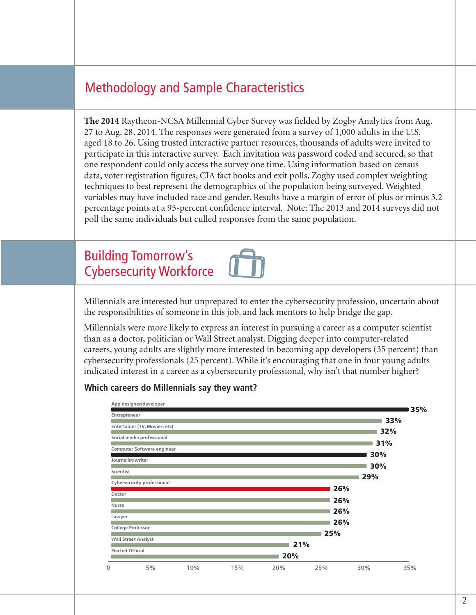# Methodology and Sample Characteristics

**The 2014** Raytheon-NCSA Millennial Cyber Survey was fielded by Zogby Analytics from Aug. 27 to Aug. 28, 2014. The responses were generated from a survey of 1,000 adults in the U.S. aged 18 to 26. Using trusted interactive partner resources, thousands of adults were invited to participate in this interactive survey. Each invitation was password coded and secured, so that one respondent could only access the survey one time. Using information based on census data, voter registration figures, CIA fact books and exit polls, Zogby used complex weighting techniques to best represent the demographics of the population being surveyed. Weighted variables may have included race and gender. Results have a margin of error of plus or minus 3.2 percentage points at a 95-percent confidence interval. Note: The 2013 and 2014 surveys did not poll the same individuals but culled responses from the same population.

### Building Tomorrow's Cybersecurity Workforce

Millennials are interested but unprepared to enter the cybersecurity profession, uncertain about the responsibilities of someone in this job, and lack mentors to help bridge the gap.

Millennials were more likely to express an interest in pursuing a career as a computer scientist than as a doctor, politician or Wall Street analyst. Digging deeper into computer-related careers, young adults are slightly more interested in becoming app developers (35 percent) than cybersecurity professionals (25 percent). While it's encouraging that one in four young adults indicated interest in a career as a cybersecurity professional, why isn't that number higher?

#### **Which careers do Millennials say they want?**

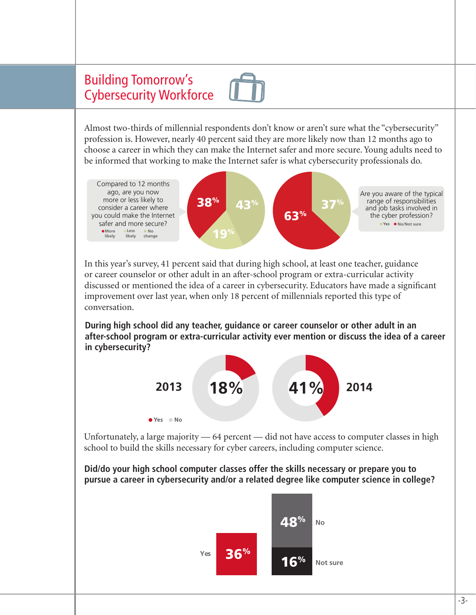# Building Tomorrow's Cybersecurity Workforce

Almost two-thirds of millennial respondents don't know or aren't sure what the "cybersecurity" profession is. However, nearly 40 percent said they are more likely now than 12 months ago to choose a career in which they can make the Internet safer and more secure. Young adults need to be informed that working to make the Internet safer is what cybersecurity professionals do.



In this year's survey, 41 percent said that during high school, at least one teacher, guidance or career counselor or other adult in an after-school program or extra-curricular activity discussed or mentioned the idea of a career in cybersecurity. Educators have made a significant improvement over last year, when only 18 percent of millennials reported this type of conversation.

**During high school did any teacher, guidance or career counselor or other adult in an after-school program or extra-curricular activity ever mention or discuss the idea of a career in cybersecurity?**



Unfortunately, a large majority — 64 percent — did not have access to computer classes in high school to build the skills necessary for cyber careers, including computer science.

**Did/do your high school computer classes offer the skills necessary or prepare you to pursue a career in cybersecurity and/or a related degree like computer science in college?**

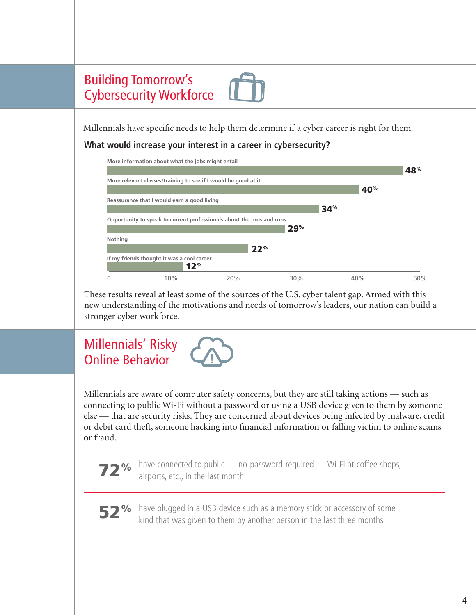

Millennials have specific needs to help them determine if a cyber career is right for them.

#### **What would increase your interest in a career in cybersecurity?**

|         | More information about what the jobs might entail                     |     |     |     |                 |     |
|---------|-----------------------------------------------------------------------|-----|-----|-----|-----------------|-----|
|         |                                                                       |     |     |     |                 | 48% |
|         | More relevant classes/training to see if I would be good at it        |     |     |     |                 |     |
|         |                                                                       |     |     |     | 40 <sup>%</sup> |     |
|         | Reassurance that I would earn a good living                           |     |     |     |                 |     |
|         |                                                                       |     |     | 34% |                 |     |
|         | Opportunity to speak to current professionals about the pros and cons |     |     |     |                 |     |
|         |                                                                       |     | 29% |     |                 |     |
| Nothing |                                                                       |     |     |     |                 |     |
|         |                                                                       | 22% |     |     |                 |     |
|         | If my friends thought it was a cool career<br>12 <sup>%</sup>         |     |     |     |                 |     |
|         | 10%                                                                   | 20% | 30% |     | 40%             | 50% |

These results reveal at least some of the sources of the U.S. cyber talent gap. Armed with this new understanding of the motivations and needs of tomorrow's leaders, our nation can build a stronger cyber workforce.

# Millennials' Risky Online Behavior **!**

Millennials are aware of computer safety concerns, but they are still taking actions — such as connecting to public Wi-Fi without a password or using a USB device given to them by someone else — that are security risks. They are concerned about devices being infected by malware, credit or debit card theft, someone hacking into financial information or falling victim to online scams or fraud.



**72%** have connected to public — no-password-required — Wi-Fi at coffee shops, airports, etc., in the last month airports, etc., in the last month



52% have plugged in a USB device such as a memory stick or accessory of some kind that was given to them by another person in the last three months kind that was given to them by another person in the last three months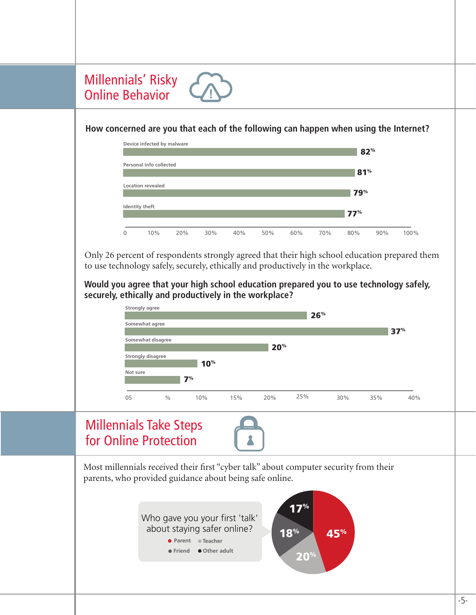### Millennials' Risky Online Behavior

#### **How concerned are you that each of the following can happen when using the Internet?**

**!**



Only 26 percent of respondents strongly agreed that their high school education prepared them to use technology safely, securely, ethically and productively in the workplace.

**Would you agree that your high school education prepared you to use technology safely, securely, ethically and productively in the workplace?**

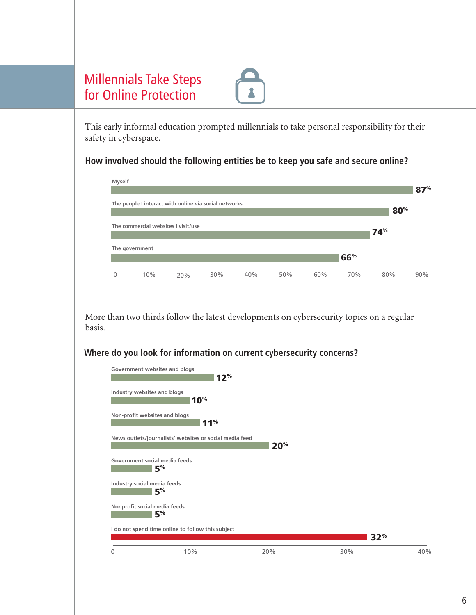|                        | for Online Protection         | <b>Millennials Take Steps</b>                                                                   |                 |     |                 |     |     |     |     |
|------------------------|-------------------------------|-------------------------------------------------------------------------------------------------|-----------------|-----|-----------------|-----|-----|-----|-----|
|                        | safety in cyberspace.         | This early informal education prompted millennials to take personal responsibility for their    |                 |     |                 |     |     |     |     |
|                        |                               | How involved should the following entities be to keep you safe and secure online?               |                 |     |                 |     |     |     |     |
|                        | Myself                        |                                                                                                 |                 |     |                 |     |     |     | 87% |
|                        |                               | The people I interact with online via social networks                                           |                 |     |                 |     |     | 80% |     |
|                        |                               | The commercial websites I visit/use                                                             |                 |     |                 |     |     | 74% |     |
|                        | The government                |                                                                                                 |                 |     |                 |     | 66% |     |     |
|                        |                               |                                                                                                 |                 |     |                 |     |     |     |     |
| $\mathbf{0}$<br>basis. | 10%                           | 20%<br>More than two thirds follow the latest developments on cybersecurity topics on a regular | 30%             | 40% | 50%             | 60% | 70% | 80% |     |
|                        | Government websites and blogs | Where do you look for information on current cybersecurity concerns?                            |                 |     |                 |     |     |     | 90% |
|                        | Industry websites and blogs   | 10 <sup>%</sup>                                                                                 | 12 <sup>%</sup> |     |                 |     |     |     |     |
|                        | Non-profit websites and blogs |                                                                                                 | 11 <sup>%</sup> |     |                 |     |     |     |     |
|                        |                               | News outlets/journalists' websites or social media feed                                         |                 |     |                 |     |     |     |     |
|                        | Government social media feeds | 5 <sup>%</sup>                                                                                  |                 |     | 20 <sup>%</sup> |     |     |     |     |
|                        | Industry social media feeds   | 5 <sup>%</sup>                                                                                  |                 |     |                 |     |     |     |     |
|                        | Nonprofit social media feeds  | 5 <sup>%</sup>                                                                                  |                 |     |                 |     |     |     |     |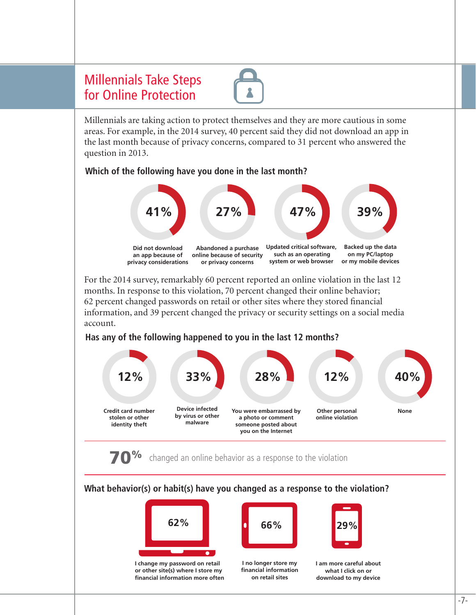### Millennials Take Steps for Online Protection



Millennials are taking action to protect themselves and they are more cautious in some areas. For example, in the 2014 survey, 40 percent said they did not download an app in the last month because of privacy concerns, compared to 31 percent who answered the question in 2013.

#### **Which of the following have you done in the last month?**



For the 2014 survey, remarkably 60 percent reported an online violation in the last 12 months. In response to this violation, 70 percent changed their online behavior; 62 percent changed passwords on retail or other sites where they stored financial information, and 39 percent changed the privacy or security settings on a social media account.

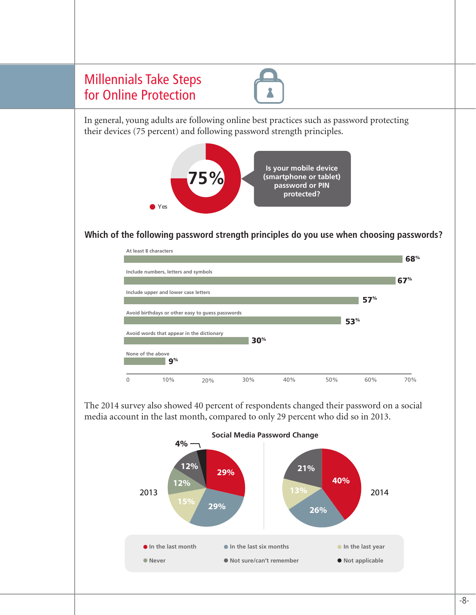

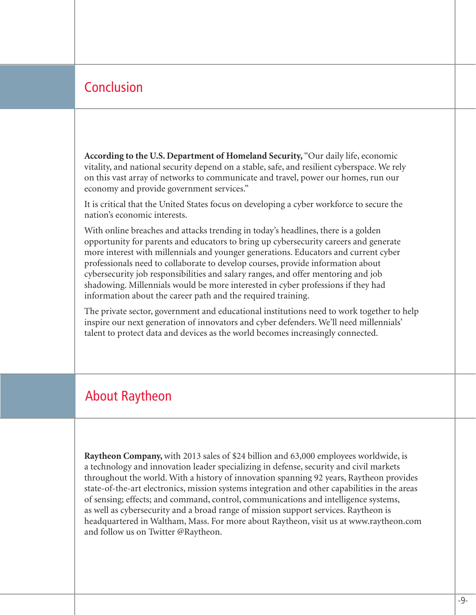### Conclusion

**According to the U.S. Department of Homeland Security,** "Our daily life, economic vitality, and national security depend on a stable, safe, and resilient cyberspace. We rely on this vast array of networks to communicate and travel, power our homes, run our economy and provide government services."

It is critical that the United States focus on developing a cyber workforce to secure the nation's economic interests.

With online breaches and attacks trending in today's headlines, there is a golden opportunity for parents and educators to bring up cybersecurity careers and generate more interest with millennials and younger generations. Educators and current cyber professionals need to collaborate to develop courses, provide information about cybersecurity job responsibilities and salary ranges, and offer mentoring and job shadowing. Millennials would be more interested in cyber professions if they had information about the career path and the required training.

The private sector, government and educational institutions need to work together to help inspire our next generation of innovators and cyber defenders. We'll need millennials' talent to protect data and devices as the world becomes increasingly connected.

### About Raytheon

**Raytheon Company,** with 2013 sales of \$24 billion and 63,000 employees worldwide, is a technology and innovation leader specializing in defense, security and civil markets throughout the world. With a history of innovation spanning 92 years, Raytheon provides state-of-the-art electronics, mission systems integration and other capabilities in the areas of sensing; effects; and command, control, communications and intelligence systems, as well as cybersecurity and a broad range of mission support services. Raytheon is headquartered in Waltham, Mass. For more about Raytheon, visit us at www.raytheon.com and follow us on Twitter @Raytheon.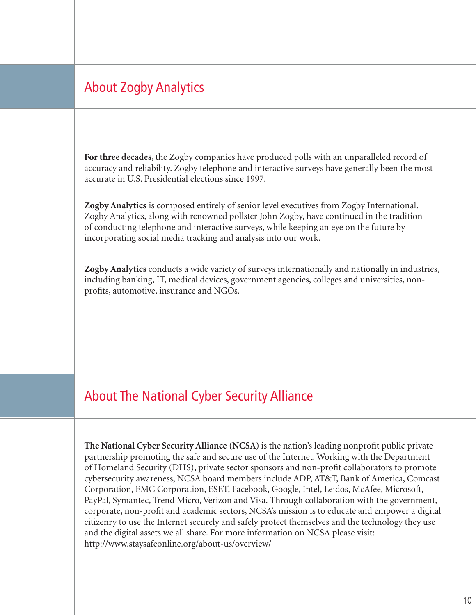# About Zogby Analytics

**For three decades,** the Zogby companies have produced polls with an unparalleled record of accuracy and reliability. Zogby telephone and interactive surveys have generally been the most accurate in U.S. Presidential elections since 1997.

**Zogby Analytics** is composed entirely of senior level executives from Zogby International. Zogby Analytics, along with renowned pollster John Zogby, have continued in the tradition of conducting telephone and interactive surveys, while keeping an eye on the future by incorporating social media tracking and analysis into our work.

**Zogby Analytics** conducts a wide variety of surveys internationally and nationally in industries, including banking, IT, medical devices, government agencies, colleges and universities, nonprofits, automotive, insurance and NGOs.

## About The National Cyber Security Alliance

**The National Cyber Security Alliance (NCSA)** is the nation's leading nonprofit public private partnership promoting the safe and secure use of the Internet. Working with the Department of Homeland Security (DHS), private sector sponsors and non-profit collaborators to promote cybersecurity awareness, NCSA board members include ADP, AT&T, Bank of America, Comcast Corporation, EMC Corporation, ESET, Facebook, Google, Intel, Leidos, McAfee, Microsoft, PayPal, Symantec, Trend Micro, Verizon and Visa. Through collaboration with the government, corporate, non-profit and academic sectors, NCSA's mission is to educate and empower a digital citizenry to use the Internet securely and safely protect themselves and the technology they use and the digital assets we all share. For more information on NCSA please visit: http://www.staysafeonline.org/about-us/overview/